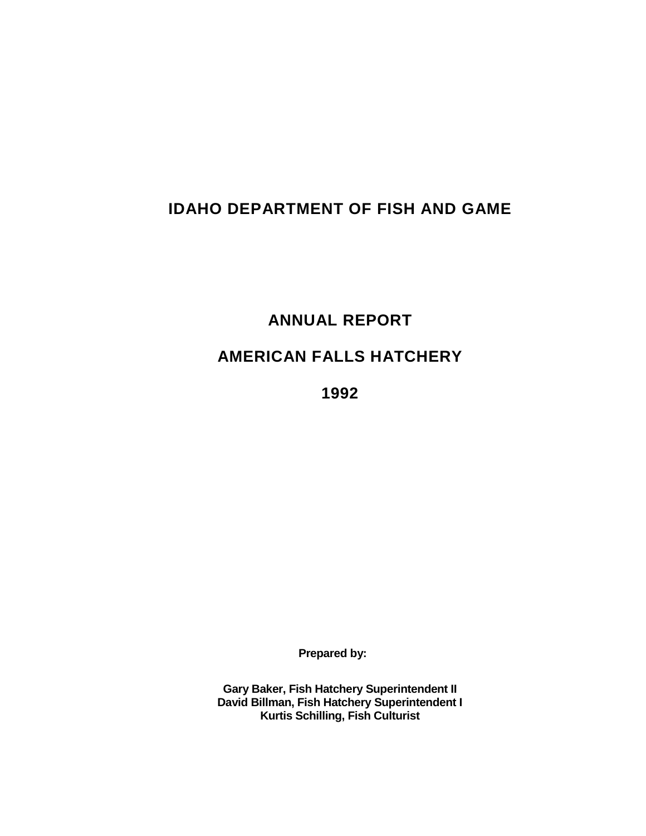# **IDAHO DEPARTMENT OF FISH AND GAME**

**ANNUAL REPORT**

**AMERICAN FALLS HATCHERY**

**1992**

**Prepared by:**

**Gary Baker, Fish Hatchery Superintendent II David Billman, Fish Hatchery Superintendent I Kurtis Schilling, Fish Culturist**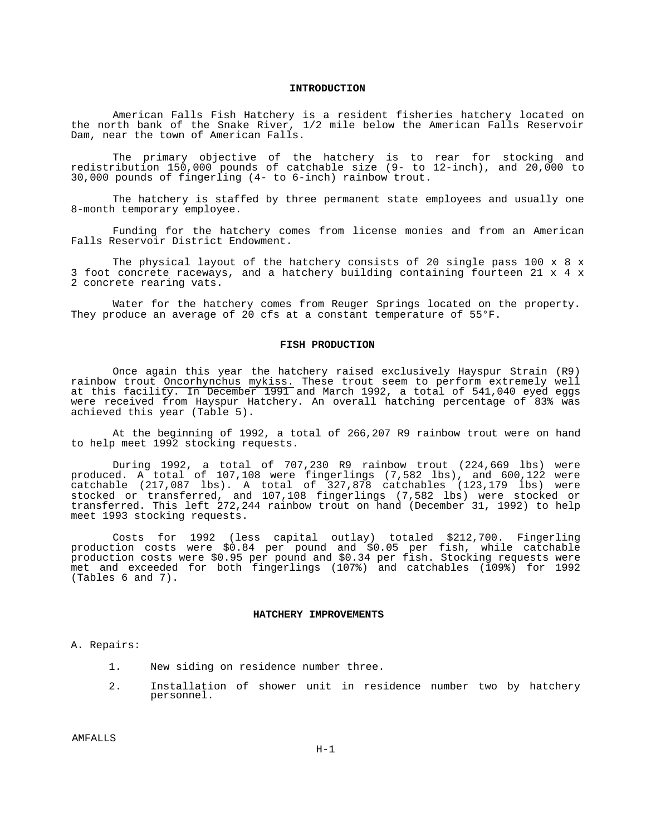#### **INTRODUCTION**

American Falls Fish Hatchery is a resident fisheries hatchery located on the north bank of the Snake River, 1/2 mile below the American Falls Reservoir Dam, near the town of American Falls.

The primary objective of the hatchery is to rear for stocking and redistribution 150,000 pounds of catchable size (9- to 12-inch), and 20,000 to 30,000 pounds of fingerling (4- to 6-inch) rainbow trout.

The hatchery is staffed by three permanent state employees and usually one 8-month temporary employee.

Funding for the hatchery comes from license monies and from an American Falls Reservoir District Endowment.

The physical layout of the hatchery consists of 20 single pass 100 x 8 x 3 foot concrete raceways, and a hatchery building containing fourteen 21 x 4 x 2 concrete rearing vats.

Water for the hatchery comes from Reuger Springs located on the property. They produce an average of 20 cfs at a constant temperature of 55°F.

#### **FISH PRODUCTION**

Once again this year the hatchery raised exclusively Hayspur Strain (R9) rainbow trout Oncorhynchus mykiss. These trout seem to perform extremely well at this facility. In December 1991 and March 1992, a total of 541,040 eyed eggs were received from Hayspur Hatchery. An overall hatching percentage of 83% was achieved this year (Table 5).

At the beginning of 1992, a total of 266,207 R9 rainbow trout were on hand to help meet 1992 stocking requests.

During 1992, a total of 707,230 R9 rainbow trout (224,669 lbs) were produced. A total of 107,108 were fingerlings (7,582 lbs), and 600,122 were catchable (217,087 lbs). A total of 327,878 catchables (123,179 lbs) were stocked or transferred, and 107,108 fingerlings (7,582 lbs) were stocked or transferred. This left 272,244 rainbow trout on hand (December 31, 1992) to help meet 1993 stocking requests.

Costs for 1992 (less capital outlay) totaled \$212,700. Fingerling production costs were \$0.84 per pound and \$0.05 per fish, while catchable production costs were \$0.95 per pound and \$0.34 per fish. Stocking requests were met and exceeded for both fingerlings (107%) and catchables (109%) for 1992 (Tables 6 and 7).

## **HATCHERY IMPROVEMENTS**

A. Repairs:

- 1. New siding on residence number three.
- 2. Installation of shower unit in residence number two by hatchery personnel.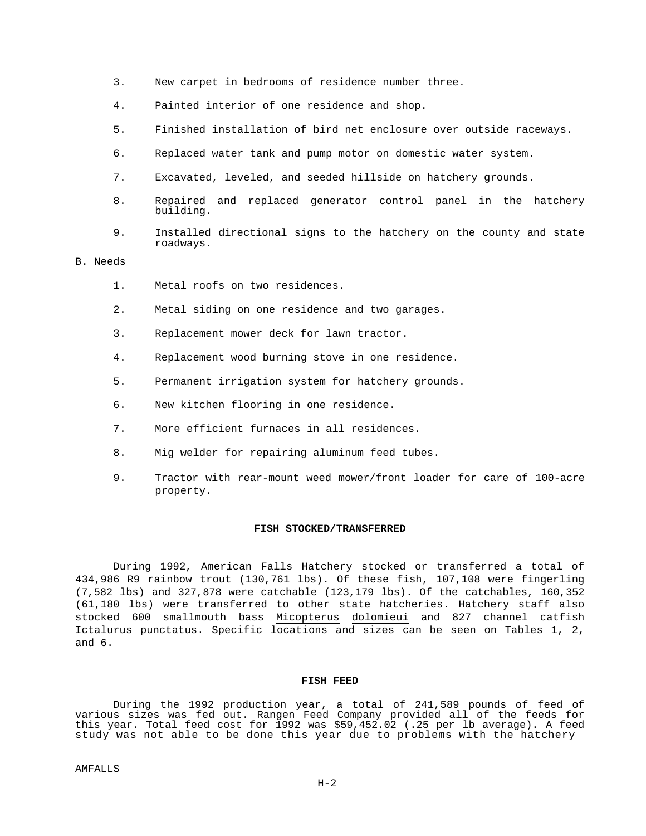- 3. New carpet in bedrooms of residence number three.
- 4. Painted interior of one residence and shop.
- 5. Finished installation of bird net enclosure over outside raceways.
- 6. Replaced water tank and pump motor on domestic water system.
- 7. Excavated, leveled, and seeded hillside on hatchery grounds.
- 8. Repaired and replaced generator control panel in the hatchery building.
- 9. Installed directional signs to the hatchery on the county and state roadways.

# B. Needs

- 1. Metal roofs on two residences.
- 2. Metal siding on one residence and two garages.
- 3. Replacement mower deck for lawn tractor.
- 4. Replacement wood burning stove in one residence.
- 5. Permanent irrigation system for hatchery grounds.
- 6. New kitchen flooring in one residence.
- 7. More efficient furnaces in all residences.
- 8. Mig welder for repairing aluminum feed tubes.
- 9. Tractor with rear-mount weed mower/front loader for care of 100-acre property.

## **FISH STOCKED/TRANSFERRED**

During 1992, American Falls Hatchery stocked or transferred a total of 434,986 R9 rainbow trout (130,761 lbs). Of these fish, 107,108 were fingerling (7,582 lbs) and 327,878 were catchable (123,179 lbs). Of the catchables, 160,352 (61,180 lbs) were transferred to other state hatcheries. Hatchery staff also stocked 600 smallmouth bass Micopterus dolomieui and 827 channel catfish Ictalurus punctatus. Specific locations and sizes can be seen on Tables 1, 2, and 6.

# **FISH FEED**

During the 1992 production year, a total of 241,589 pounds of feed of various sizes was fed out. Rangen Feed Company provided all of the feeds for this year. Total feed cost for  $1992$  was \$59,452.02 (.25 per lb average). A feed study was not able to be done this year due to problems with the hatchery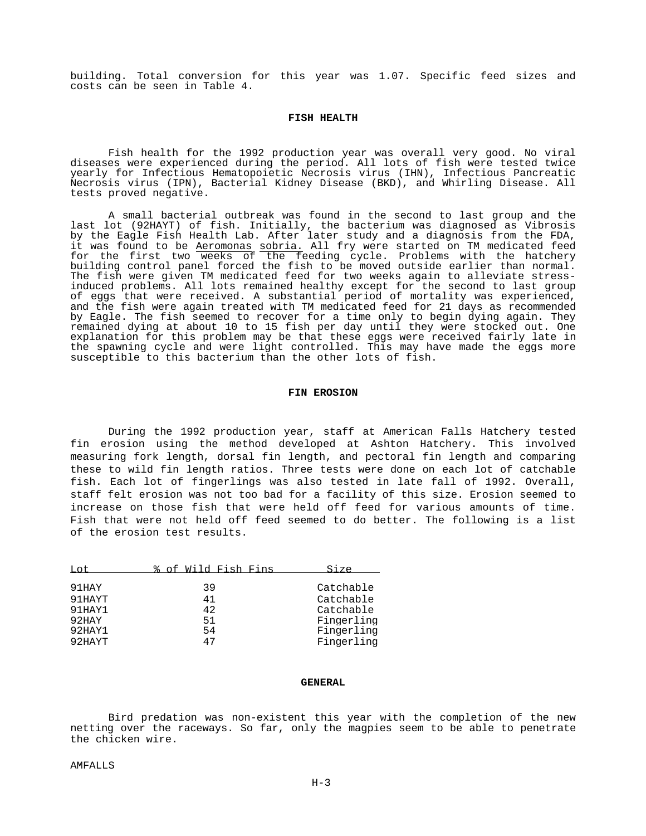building. Total conversion for this year was 1.07. Specific feed sizes and costs can be seen in Table 4.

## **FISH HEALTH**

Fish health for the 1992 production year was overall very good. No viral diseases were experienced during the period. All lots of fish were tested twice yearly for Infectious Hematopoietic Necrosis virus (IHN), Infectious Pancreatic Necrosis virus (IPN), Bacterial Kidney Disease (BKD), and Whirling Disease. All tests proved negative.

A small bacterial outbreak was found in the second to last group and the last lot (92HAYT) of fish. Initially, the bacterium was diagnosed as Vibrosis by the Eagle Fish Health Lab. After later study and a diagnosis from the FDA, it was found to be Aeromonas sobria. All fry were started on TM medicated feed for the first two weeks of the feeding cycle. Problems with the hatchery building control panel forced the fish to be moved outside earlier than normal. The fish were given TM medicated feed for two weeks again to alleviate stressinduced problems. All lots remained healthy except for the second to last group of eggs that were received. A substantial period of mortality was experienced, and the fish were again treated with TM medicated feed for 21 days as recommended by Eagle. The fish seemed to recover for a time only to begin dying again. They remained dying at about 10 to 15 fish per day until they were stocked out. One explanation for this problem may be that these eggs were received fairly late in the spawning cycle and were light controlled. This may have made the eggs more susceptible to this bacterium than the other lots of fish.

#### **FIN EROSION**

During the 1992 production year, staff at American Falls Hatchery tested fin erosion using the method developed at Ashton Hatchery. This involved measuring fork length, dorsal fin length, and pectoral fin length and comparing these to wild fin length ratios. Three tests were done on each lot of catchable fish. Each lot of fingerlings was also tested in late fall of 1992. Overall, staff felt erosion was not too bad for a facility of this size. Erosion seemed to increase on those fish that were held off feed for various amounts of time. Fish that were not held off feed seemed to do better. The following is a list of the erosion test results.

| $T \cdot \cap t$ | % of Wild Fish Fins | Size       |
|------------------|---------------------|------------|
| 91HAY            | 39                  | Catchable  |
| 91HAYT           | 41                  | Catchable  |
| 91HAY1           | 42                  | Catchable  |
| 92HAY            | 51                  | Fingerling |
| 92HAY1           | 54                  | Fingerling |
| 92HAYT           | 47                  | Fingerling |

## **GENERAL**

Bird predation was non-existent this year with the completion of the new netting over the raceways. So far, only the magpies seem to be able to penetrate the chicken wire.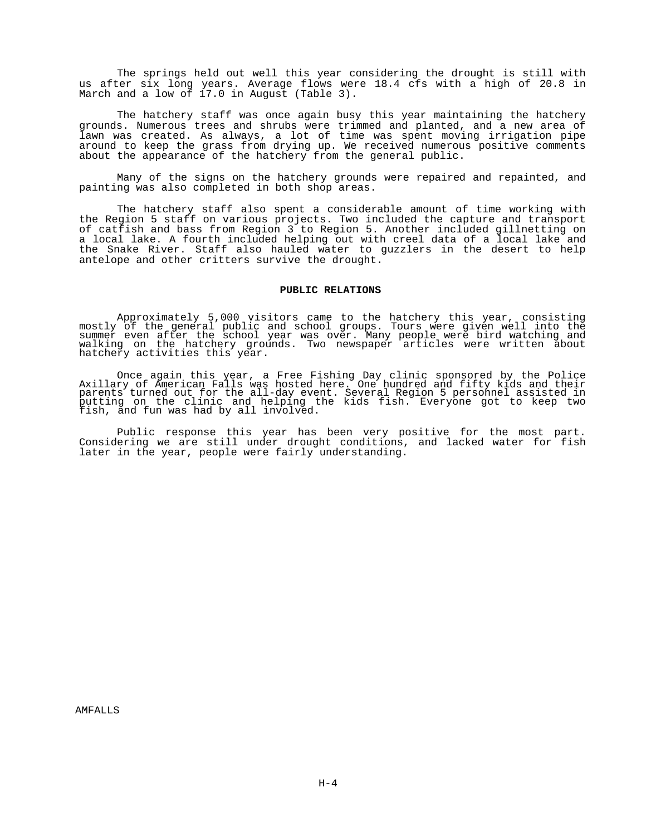The springs held out well this year considering the drought is still with us after six long years. Average flows were 18.4 cfs with a high of 20.8 in March and a low of 17.0 in August (Table 3).

The hatchery staff was once again busy this year maintaining the hatchery grounds. Numerous trees and shrubs were trimmed and planted, and a new area of lawn was created. As always, a lot of time was spent moving irrigation pipe around to keep the grass from drying up. We received numerous positive comments about the appearance of the hatchery from the general public.

Many of the signs on the hatchery grounds were repaired and repainted, and painting was also completed in both shop areas.

The hatchery staff also spent a considerable amount of time working with the Region 5 staff on various projects. Two included the capture and transport of catfish and bass from Region 3 to Region 5. Another included gillnetting on a local lake. A fourth included helping out with creel data of a local lake and the Snake River. Staff also hauled water to guzzlers in the desert to help antelope and other critters survive the drought.

## **PUBLIC RELATIONS**

Approximately 5,000 visitors came to the hatchery this year, consisting mostly of the general public and school groups. Tours were given well into the summer even after the school year was over. Many people were bird watching and walking on the hatchery grounds. Two newspaper articles were written about hatchery activities this year.

Once again this year, a Free Fishing Day clinic sponsored by the Police Axillary of American Falls was hosted here. One hundred and fifty kids and their parents turned out for the all-day event. Several Region 5 personnel assisted in putting on the clinic and helping the kids fish. Everyone got to keep two fish, and fun was had by all involved.

Public response this year has been very positive for the most part. Considering we are still under drought conditions, and lacked water for fish later in the year, people were fairly understanding.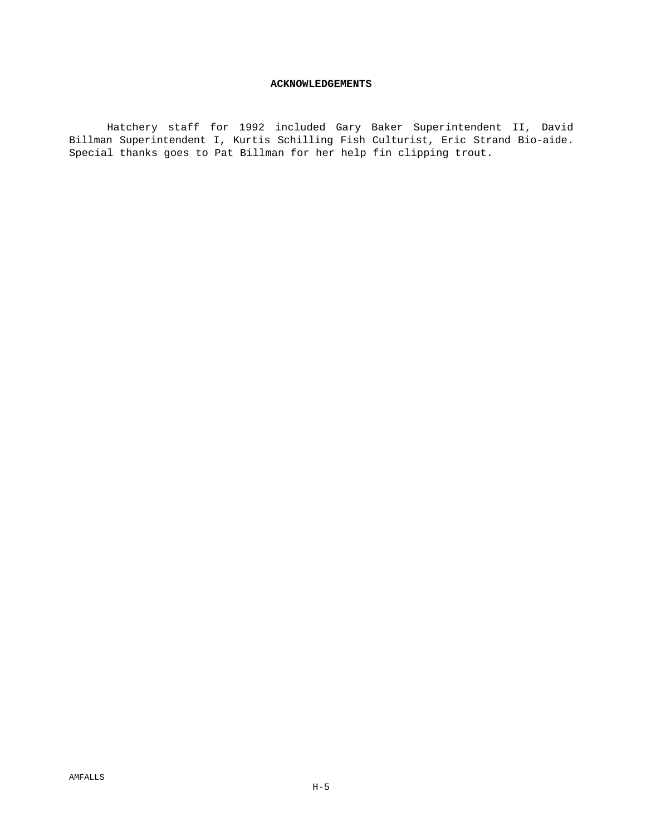## **ACKNOWLEDGEMENTS**

Hatchery staff for 1992 included Gary Baker Superintendent II, David Billman Superintendent I, Kurtis Schilling Fish Culturist, Eric Strand Bio-aide. Special thanks goes to Pat Billman for her help fin clipping trout.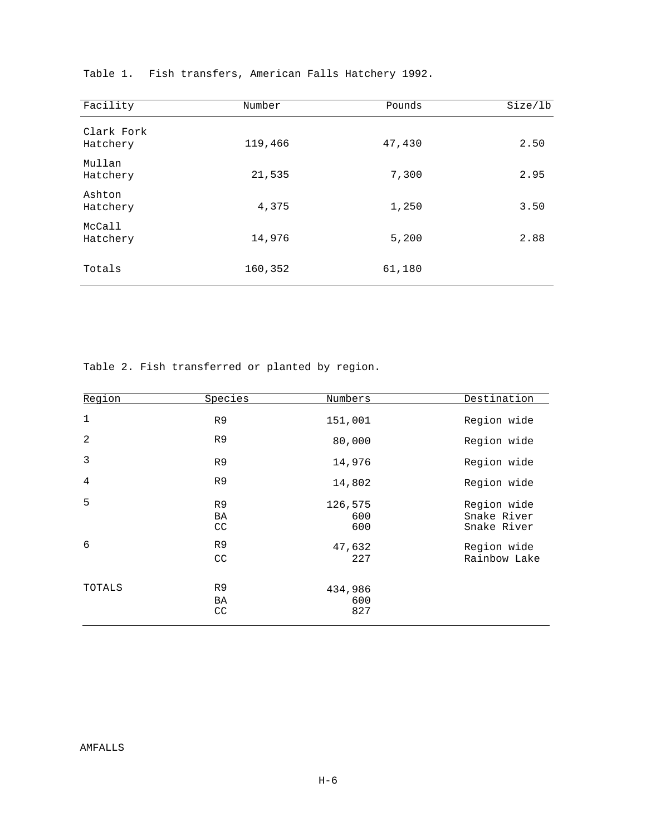| Facility               | Number  | Pounds | Size/lb |
|------------------------|---------|--------|---------|
| Clark Fork<br>Hatchery | 119,466 | 47,430 | 2.50    |
| Mullan<br>Hatchery     | 21,535  | 7,300  | 2.95    |
| Ashton<br>Hatchery     | 4,375   | 1,250  | 3.50    |
| McCall<br>Hatchery     | 14,976  | 5,200  | 2.88    |
| Totals                 | 160,352 | 61,180 |         |

Table 1. Fish transfers, American Falls Hatchery 1992.

Table 2. Fish transferred or planted by region.

| Region      | Species                    | Numbers               | Destination                               |
|-------------|----------------------------|-----------------------|-------------------------------------------|
| $\mathbf 1$ | R <sub>9</sub>             | 151,001               | Region wide                               |
| 2           | R9                         | 80,000                | Region wide                               |
| 3           | R <sub>9</sub>             | 14,976                | Region wide                               |
| 4           | R9                         | 14,802                | Region wide                               |
| 5           | R <sub>9</sub><br>BA<br>CC | 126,575<br>600<br>600 | Region wide<br>Snake River<br>Snake River |
| 6           | R9<br>CC                   | 47,632<br>227         | Region wide<br>Rainbow Lake               |
| TOTALS      | R9<br>BA<br>CC             | 434,986<br>600<br>827 |                                           |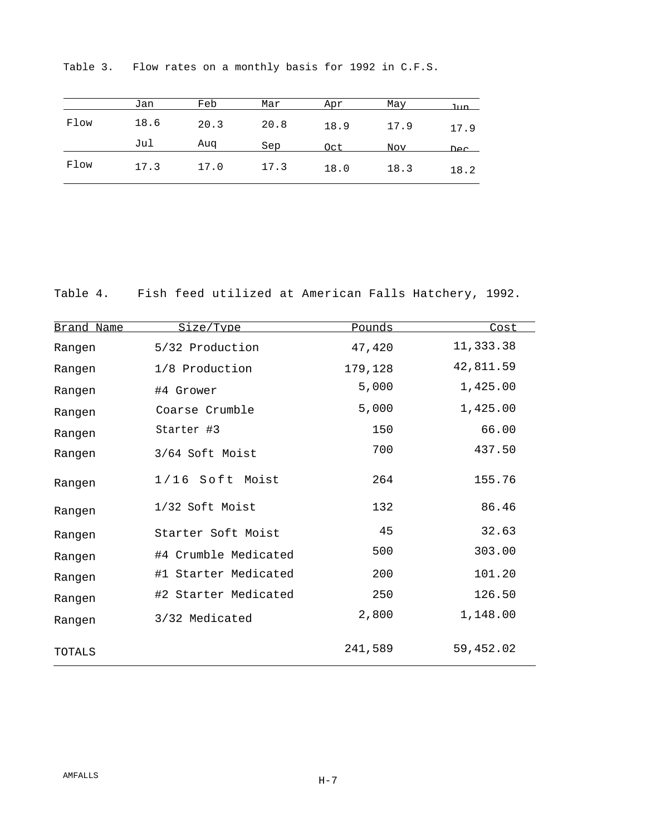|      | Jan  | Feb  | Mar  | Apr  | May  | .T11n |
|------|------|------|------|------|------|-------|
| Flow | 18.6 | 20.3 | 20.8 | 18.9 | 17.9 | 17.9  |
|      | Jul  | Aug  | Sep  | Oct  | Nov  | DAC   |
| Flow | 17.3 | 17.0 | 17.3 | 18.0 | 18.3 | 18.2  |

Table 3. Flow rates on a monthly basis for 1992 in C.F.S.

Table 4. Fish feed utilized at American Falls Hatchery, 1992.

| Brand Name | Size/Type            | Pounds  | Cost      |
|------------|----------------------|---------|-----------|
| Rangen     | 5/32 Production      | 47,420  | 11,333.38 |
| Rangen     | 1/8 Production       | 179,128 | 42,811.59 |
| Rangen     | #4 Grower            | 5,000   | 1,425.00  |
| Rangen     | Coarse Crumble       | 5,000   | 1,425.00  |
| Rangen     | Starter #3           | 150     | 66.00     |
| Rangen     | 3/64 Soft Moist      | 700     | 437.50    |
| Rangen     | 1/16 Soft Moist      | 264     | 155.76    |
| Rangen     | 1/32 Soft Moist      | 132     | 86.46     |
| Rangen     | Starter Soft Moist   | 45      | 32.63     |
| Rangen     | #4 Crumble Medicated | 500     | 303.00    |
| Rangen     | #1 Starter Medicated | 200     | 101.20    |
| Rangen     | #2 Starter Medicated | 250     | 126.50    |
| Rangen     | 3/32 Medicated       | 2,800   | 1,148.00  |
| TOTALS     |                      | 241,589 | 59,452.02 |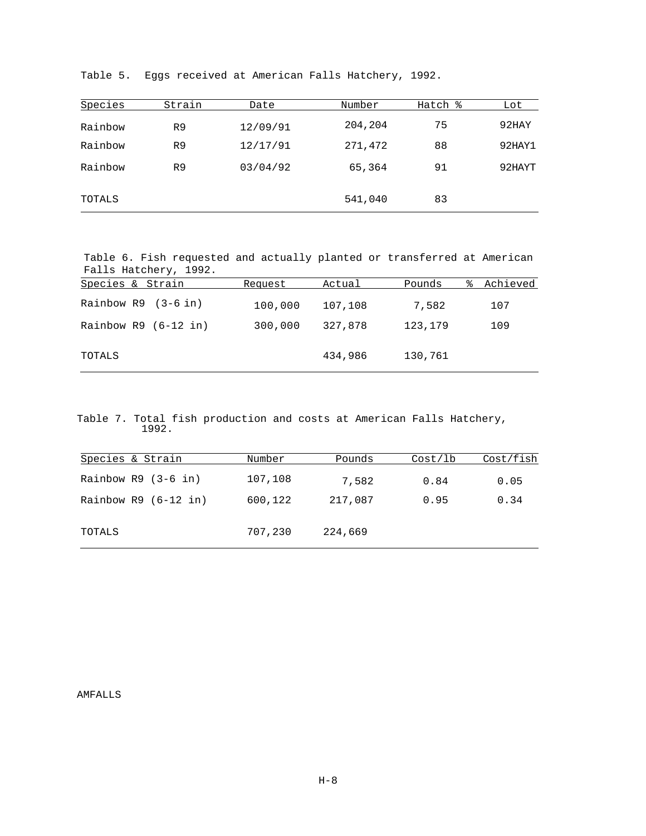| Species | Strain         | Date     | Number  | Hatch % | Lot    |
|---------|----------------|----------|---------|---------|--------|
| Rainbow | R <sub>9</sub> | 12/09/91 | 204,204 | 75      | 92HAY  |
| Rainbow | R <sub>9</sub> | 12/17/91 | 271,472 | 88      | 92HAY1 |
| Rainbow | R9             | 03/04/92 | 65,364  | 91      | 92HAYT |
| TOTALS  |                |          | 541,040 | 83      |        |

Table 5. Eggs received at American Falls Hatchery, 1992.

Table 6. Fish requested and actually planted or transferred at American Falls Hatchery, 1992.

| Species & Strain       | Request | Actual  | Pounds  | Achieved<br>⊱ |
|------------------------|---------|---------|---------|---------------|
| Rainbow $R9$ (3-6 in)  | 100,000 | 107,108 | 7,582   | 107           |
| Rainbow $R9$ (6-12 in) | 300,000 | 327,878 | 123,179 | 109           |
| TOTALS                 |         | 434,986 | 130,761 |               |

Table 7. Total fish production and costs at American Falls Hatchery, 1992.

| Species & Strain       | Number  | Pounds  | Cost/1b | Cost/fish |
|------------------------|---------|---------|---------|-----------|
| Rainbow $R9$ (3-6 in)  | 107,108 | 7,582   | 0.84    | 0.05      |
| Rainbow $R9$ (6-12 in) | 600,122 | 217,087 | 0.95    | 0.34      |
| TOTALS                 | 707,230 | 224,669 |         |           |